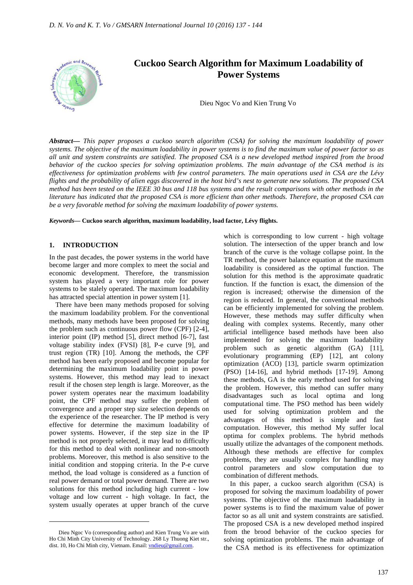

*Abstract***—** *This paper proposes a cuckoo search algorithm (CSA) for solving the maximum loadability of power systems. The objective of the maximum loadability in power systems is to find the maximum value of power factor so as all unit and system constraints are satisfied. The proposed CSA is a new developed method inspired from the brood behavior of the cuckoo species for solving optimization problems. The main advantage of the CSA method is its effectiveness for optimization problems with few control parameters. The main operations used in CSA are the Lévy flights and the probability of alien eggs discovered in the host bird's nest to generate new solutions. The proposed CSA method has been tested on the IEEE 30 bus and 118 bus systems and the result comparisons with other methods in the literature has indicated that the proposed CSA is more efficient than other methods. Therefore, the proposed CSA can be a very favorable method for solving the maximum loadability of power systems.*

*Keywords***— Cuckoo search algorithm, maximum loadability, load factor, Lévy flights.**

#### **1. INTRODUCTION**

In the past decades, the power systems in the world have become larger and more complex to meet the social and economic development. Therefore, the transmission system has played a very important role for power systems to be stalely operated. The maximum loadability has attracted special attention in power system [1].

There have been many methods proposed for solving the maximum loadability problem. For the conventional methods, many methods have been proposed for solving the problem such as continuous power flow (CPF) [2-4], interior point (IP) method [5], direct method [6-7], fast voltage stability index (FVSI) [8], P-e curve [9], and trust region (TR) [10]. Among the methods, the CPF method has been early proposed and become popular for determining the maximum loadability point in power systems. However, this method may lead to inexact result if the chosen step length is large. Moreover, as the power system operates near the maximum loadability point, the CPF method may suffer the problem of convergence and a proper step size selection depends on the experience of the researcher. The IP method is very effective for determine the maximum loadability of power systems. However, if the step size in the IP method is not properly selected, it may lead to difficulty for this method to deal with nonlinear and non-smooth problems. Moreover, this method is also sensitive to the initial condition and stopping criteria. In the P-e curve method, the load voltage is considered as a function of real power demand or total power demand. There are two solutions for this method including high current - low voltage and low current - high voltage. In fact, the system usually operates at upper branch of the curve

 $\overline{a}$ 

which is corresponding to low current - high voltage solution. The intersection of the upper branch and low branch of the curve is the voltage collapse point. In the TR method, the power balance equation at the maximum loadability is considered as the optimal function. The solution for this method is the approximate quadratic function. If the function is exact, the dimension of the region is increased; otherwise the dimension of the region is reduced. In general, the conventional methods can be efficiently implemented for solving the problem. However, these methods may suffer difficulty when dealing with complex systems. Recently, many other artificial intelligence based methods have been also implemented for solving the maximum loadability problem such as genetic algorithm (GA) [11], evolutionary programming (EP) [12], ant colony optimization (ACO) [13], particle swarm optimization (PSO) [14-16], and hybrid methods [17-19]. Among these methods, GA is the early method used for solving the problem. However, this method can suffer many disadvantages such as local optima and long computational time. The PSO method has been widely used for solving optimization problem and the advantages of this method is simple and fast computation. However, this method My suffer local optima for complex problems. The hybrid methods usually utilize the advantages of the component methods. Although these methods are effective for complex problems, they are usually complex for handling may control parameters and slow computation due to combination of different methods.

In this paper, a cuckoo search algorithm (CSA) is proposed for solving the maximum loadability of power systems. The objective of the maximum loadability in power systems is to find the maximum value of power factor so as all unit and system constraints are satisfied. The proposed CSA is a new developed method inspired from the brood behavior of the cuckoo species for solving optimization problems. The main advantage of the CSA method is its effectiveness for optimization

Dieu Ngoc Vo (corresponding author) and Kien Trung Vo are with Ho Chi Minh City University of Technology. 268 Ly Thuong Kiet str., dist. 10, Ho Chi Minh city, Vietnam. Email: vndieu@gmail.com.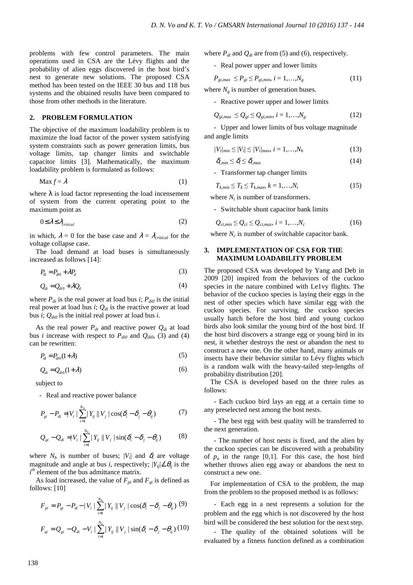problems with few control parameters. The main operations used in CSA are the Lévy flights and the probability of alien eggs discovered in the host bird's nest to generate new solutions. The proposed CSA method has been tested on the IEEE 30 bus and 118 bus systems and the obtained results have been compared to those from other methods in the literature.

# **2. PROBLEM FORMULATION**

The objective of the maximum loadability problem is to maximize the load factor of the power system satisfying system constraints such as power generation limits, bus voltage limits, tap changer limits and switchable capacitor limits [3]. Mathematically, the maximum loadability problem is formulated as follows:

$$
\operatorname{Max} f = \lambda \tag{1}
$$

where  $\lambda$  is load factor representing the load incensement of system from the current operating point to the maximum point as

$$
0 \le \lambda \le \lambda_{critical} \tag{2}
$$

in which,  $\lambda = 0$  for the base case and  $\lambda = \lambda_{critical}$  for the voltage collapse case.

The load demand at load buses is simultaneously increased as follows [14]:

$$
P_{di} = P_{di0} + \lambda P_d \tag{3}
$$

$$
Q_{di} = Q_{di0} + \lambda Q_d \tag{4}
$$

where  $P_{di}$  is the real power at load bus *i*;  $P_{di0}$  is the initial real power at load bus *i*; *Qdi* is the reactive power at load bus *i*; *Qdi0* is the initial real power at load bus *i*.

As the real power  $P_{di}$  and reactive power  $Q_{di}$  at load bus *i* increase with respect to  $P_{di0}$  and  $Q_{di0}$ , (3) and (4) can be rewritten:

$$
P_{di} = P_{di0}(1+\lambda) \tag{5}
$$

$$
Q_{di} = Q_{di0}(1+\lambda) \tag{6}
$$

subject to

- Real and reactive power balance

$$
P_{gi} - P_{di} = |V_i| \sum_{i=1}^{N_b} |Y_{ij}| |V_j| \cos(\delta_i - \delta_j - \theta_{ij})
$$
 (7)

$$
Q_{gi} - Q_{di} = |V_i| \sum_{i=1}^{N_b} |Y_{ij}| |V_j| \sin(\delta_i - \delta_j - \theta_{ij})
$$
 (8)

where  $N_b$  is number of buses;  $|V_i|$  and  $\delta_i$  are voltage magnitude and angle at bus *i*, respectively;  $|Y_{ij}| \angle \theta_{ij}$  is the *i*<sup>th</sup> element of the bus admittance matrix.

As load increased, the value of  $F_{pi}$  and  $F_{qi}$  is defined as follows: [10]

$$
F_{pi} = P_{gi} - P_{di} - |V_i| \sum_{i=1}^{N_b} |Y_{ij}| |V_j| \cos(\delta_i - \delta_j - \theta_{ij})
$$
 (9)  

$$
F_{qi} = Q_{gi} - Q_{di} - V_i | \sum_{i=1}^{N_b} |Y_{ij}| |V_j| \sin(\delta_i - \delta_j - \theta_{ij})
$$
 (10)

where  $P_{di}$  and  $Q_{di}$  are from (5) and (6), respectively.

- Real power upper and lower limits

$$
P_{gi,max} \le P_{gi} \le P_{gi,min}, i = 1,...,N_g
$$
\n
$$
(11)
$$

where  $N<sub>o</sub>$  is number of generation buses.

- Reactive power upper and lower limits

$$
Q_{gi,max} \le Q_{gi} \le Q_{gi,min}, i = 1,...,N_g
$$
\n(12)

- Upper and lower limits of bus voltage magnitude and angle limits

$$
|V_i|_{min} \le |V_i| \le |V_i|_{max}, i = 1, ..., N_b
$$
 (13)

$$
\delta_{i,min} \le \delta_i \le \delta_{i,max} \tag{14}
$$

- Transformer tap changer limits

$$
T_{k,min} \le T_k \le T_{k,max}, k = 1, \dots, N_t
$$
\n
$$
(15)
$$

where  $N_t$  is number of transformers.

- Switchable shunt capacitor bank limits

$$
Q_{ci,min} \le Q_{ci} \le Q_{ci,max}, i = 1,...,N_c
$$
 (16)

where  $N_c$  is number of switchable capacitor bank.

# **3. IMPLEMENTATION OF CSA FOR THE MAXIMUM LOADABILITY PROBLEM**

The proposed CSA was developed by Yang and Deb in 2009 [20] inspired from the behaviors of the cuckoo species in the nature combined with Le1vy flights. The behavior of the cuckoo species is laying their eggs in the nest of other species which have similar egg with the cuckoo species. For surviving, the cuckoo species usually hatch before the host bird and young cuckoo birds also look similar the young bird of the host bird. If the host bird discovers a strange egg or young bird in its nest, it whether destroys the nest or abandon the nest to construct a new one. On the other hand, many animals or insects have their behavior similar to Lévy flights which is a random walk with the heavy-tailed step-lengths of probability distribution [20].

The CSA is developed based on the three rules as follows:

- Each cuckoo bird lays an egg at a certain time to any preselected nest among the host nests.

- The best egg with best quality will be transferred to the next generation.

- The number of host nests is fixed, and the alien by the cuckoo species can be discovered with a probability of  $p_a$  in the range [0,1]. For this case, the host bird whether throws alien egg away or abandons the nest to construct a new one.

For implementation of CSA to the problem, the map from the problem to the proposed method is as follows:

- Each egg in a nest represents a solution for the problem and the egg which is not discovered by the host bird will be considered the best solution for the next step.

- The quality of the obtained solutions will be evaluated by a fitness function defined as a combination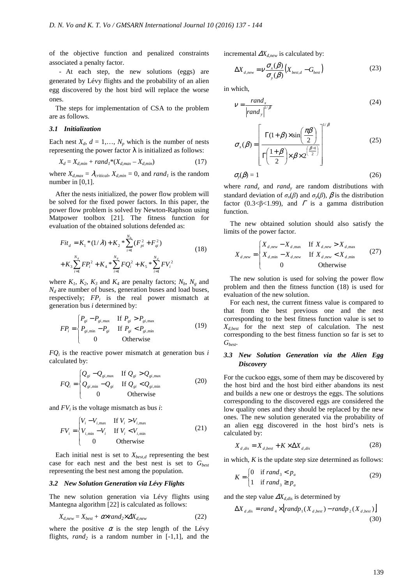of the objective function and penalized constraints associated a penalty factor.

- At each step, the new solutions (eggs) are generated by Lévy flights and the probability of an alien egg discovered by the host bird will replace the worse ones.

The steps for implementation of CSA to the problem are as follows.

## *3.1 Initialization*

Each nest  $X_d$ ,  $d = 1, \ldots, N_p$  which is the number of nests representing the power factor  $\lambda$  is initialized as follows:

$$
X_d = X_{d,min} + rand_1^*(X_{d,max} - X_{d,min})
$$
\n
$$
(17)
$$

where  $X_{d,max} = \lambda_{critical}$ ,  $X_{d,min} = 0$ , and *rand<sub>1</sub>* is the random number in [0,1].

After the nests initialized, the power flow problem will be solved for the fixed power factors. In this paper, the power flow problem is solved by Newton-Raphson using Matpower toolbox [21]. The fitness function for evaluation of the obtained solutions defended as:

*N*

$$
Fit_{d} = K_{1} * (1/\lambda) + K_{2} * \sum_{i=1}^{N_{s}} (F_{pi}^{2} + F_{qi}^{2})
$$
  
+  $K_{3} \sum_{i=1}^{N_{s}} FP_{i}^{2} + K_{4} * \sum_{i=1}^{N_{s}} FQ_{i}^{2} + K_{5} * \sum_{i=1}^{N_{d}} FV_{i}^{2}$  (18)

where  $K_1$ ,  $K_2$ ,  $K_3$  and  $K_4$  are penalty factors;  $N_b$ ,  $N_g$  and  $N_d$  are number of buses, generation buses and load buses, respectively;  $FP_i$  is the real power mismatch at generation bus *i* determined by:

$$
FP_i = \begin{cases} P_{gi} - P_{gi, \text{max}} & \text{If } P_{gi} > P_{gi, \text{max}} \\ P_{gi, \text{min}} - P_{gi} & \text{If } P_{gi} < P_{gi, \text{min}} \\ 0 & \text{Otherwise} \end{cases}
$$
(19)

 $FQ_i$  is the reactive power mismatch at generation bus *i* calculated by:

$$
FQ_i = \begin{cases} Q_{si} - Q_{si,\text{max}} & \text{If } Q_{si} > Q_{si,\text{max}} \\ Q_{si,\text{min}} - Q_{si} & \text{If } Q_{si} < Q_{si,\text{min}} \\ 0 & \text{Otherwise} \end{cases}
$$
(20)

and *FV<sup>i</sup>* is the voltage mismatch as bus *i*:

$$
FV_i = \begin{cases} V_i - V_{i,\text{max}} & \text{If } V_i > V_{i,\text{max}} \\ V_{i,\text{min}} - V_i & \text{If } V_i < V_{i,\text{min}} \\ 0 & \text{Otherwise} \end{cases}
$$
(21)

Each initial nest is set to  $X_{best,d}$  representing the best case for each nest and the best nest is set to *Gbest* representing the best nest among the population.

## *3.2 New Solution Generation via Lévy Flights*

The new solution generation via Lévy flights using Mantegna algorithm [22] is calculated as follows:

$$
X_{d,new} = X_{best} + \alpha \times rand_2 \times \Delta X_{d,new} \tag{22}
$$

where the positive  $\alpha$  is the step length of the Lévy flights,  $rand_2$  is a random number in  $[-1,1]$ , and the incremental ∆*Xd,new* is calculated by:

$$
\Delta X_{d,new} = \nu \frac{\sigma_x(\beta)}{\sigma_y(\beta)} \big(X_{best,d} - G_{best}\big) \tag{23}
$$

in which,

$$
V = \frac{rand_x}{|rand_y|^{1/\beta}}
$$
 (24)

$$
\sigma_x(\beta) = \left[ \frac{\Gamma(1+\beta) \times \sin\left(\frac{\pi\beta}{2}\right)}{\Gamma\left(\frac{1+\beta}{2}\right) \times \beta \times 2^{\left(\frac{\beta-1}{2}\right)}} \right]^{1/\beta} \tag{25}
$$

$$
\sigma_{y}(\beta) = 1 \tag{26}
$$

where  $rand_x$  and  $rand_y$  are random distributions with standard deviation of  $\sigma_x(\beta)$  and  $\sigma_y(\beta)$ ,  $\beta$  is the distribution factor (0.3< $\beta$ <1.99), and  $\Gamma$  is a gamma distribution function.

The new obtained solution should also satisfy the limits of the power factor.

$$
X_{d,new} = \begin{cases} X_{d,new} - X_{d,max} & \text{If } X_{d,new} > X_{d,max} \\ X_{d,min} - X_{d,new} & \text{If } X_{d,new} < X_{d,min} \\ 0 & \text{Otherwise} \end{cases}
$$
 (27)

The new solution is used for solving the power flow problem and then the fitness function (18) is used for evaluation of the new solution.

For each nest, the current fitness value is compared to that from the best previous one and the nest corresponding to the best fitness function value is set to *Xd,best* for the next step of calculation. The nest corresponding to the best fitness function so far is set to *Gbest*.

# *3.3 New Solution Generation via the Alien Egg Discovery*

For the cuckoo eggs, some of them may be discovered by the host bird and the host bird either abandons its nest and builds a new one or destroys the eggs. The solutions corresponding to the discovered eggs are considered the low quality ones and they should be replaced by the new ones. The new solution generated via the probability of an alien egg discovered in the host bird's nets is calculated by:

$$
X_{d,dis} = X_{d,best} + K \times \Delta X_{d,dis}
$$
 (28)

in which, *K* is the update step size determined as follows:

$$
K = \begin{cases} 0 & \text{if } rand_3 < p_a \\ 1 & \text{if } rand_3 \ge p_a \end{cases} \tag{29}
$$

and the step value  $\Delta X_{d,dis}$  is determined by

$$
\Delta X_{d,dis} = rand_4 \times [randp_1(X_{d,best}) - randp_2(X_{d,best})]
$$
\n(30)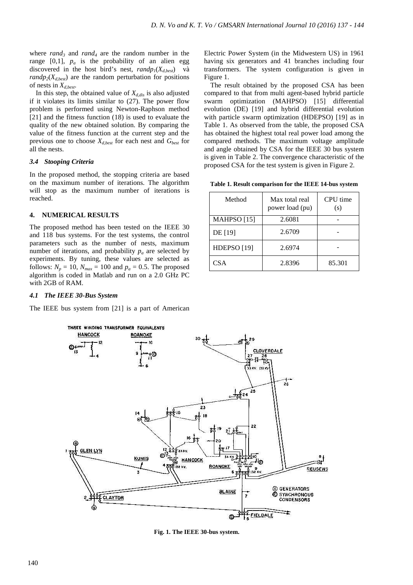where  $rand_3$  and  $rand_4$  are the random number in the range  $[0,1]$ ,  $p_a$  is the probability of an alien egg discovered in the host bird's nest,  $randp<sub>I</sub>(X<sub>d, best</sub>)$  và  $randp_2(X_{d, best})$  are the random perturbation for positions of nests in *Xd,best*.

In this step, the obtained value of  $X_{d,dis}$  is also adjusted if it violates its limits similar to (27). The power flow problem is performed using Newton-Raphson method [21] and the fitness function (18) is used to evaluate the quality of the new obtained solution. By comparing the value of the fitness function at the current step and the previous one to choose  $X_{d, best}$  for each nest and  $G_{best}$  for all the nests.

#### *3.4 Stooping Criteria*

In the proposed method, the stopping criteria are based on the maximum number of iterations. The algorithm will stop as the maximum number of iterations is reached.

#### **4. NUMERICAL RESULTS**

The proposed method has been tested on the IEEE 30 and 118 bus systems. For the test systems, the control parameters such as the number of nests, maximum number of iterations, and probability  $p_a$  are selected by experiments. By tuning, these values are selected as follows:  $N_p = 10$ ,  $N_{max} = 100$  and  $p_a = 0.5$ . The proposed algorithm is coded in Matlab and run on a 2.0 GHz PC with 2GB of RAM.

## *4.1 The IEEE 30-Bus System*

The IEEE bus system from [21] is a part of American

Electric Power System (in the Midwestern US) in 1961 having six generators and 41 branches including four transformers. The system configuration is given in Figure 1.

The result obtained by the proposed CSA has been compared to that from multi agent-based hybrid particle swarm optimization (MAHPSO) [15] differential evolution (DE) [19] and hybrid differential evolution with particle swarm optimization (HDEPSO) [19] as in Table 1. As observed from the table, the proposed CSA has obtained the highest total real power load among the compared methods. The maximum voltage amplitude and angle obtained by CSA for the IEEE 30 bus system is given in Table 2. The convergence characteristic of the proposed CSA for the test system is given in Figure 2.

**Table 1. Result comparison for the IEEE 14-bus system**

| Method                 | Max total real<br>power load (pu) | CPU time<br>(s) |
|------------------------|-----------------------------------|-----------------|
| MAHPSO <sup>[15]</sup> | 2.6081                            |                 |
| <b>DE</b> [19]         | 2.6709                            |                 |
| HDEPSO <sub>[19]</sub> | 2.6974                            |                 |
| CSA                    | 2.8396                            | 85.301          |



**Fig. 1. The IEEE 30-bus system.**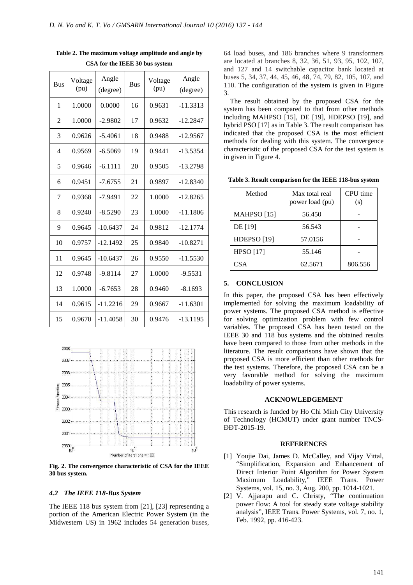| <b>Bus</b>     | Voltage<br>(pu) | Angle<br>(degree) | <b>Bus</b> | Voltage<br>(pu) | Angle<br>(degree) |
|----------------|-----------------|-------------------|------------|-----------------|-------------------|
| 1              | 1.0000          | 0.0000            | 16         | 0.9631          | $-11.3313$        |
| 2              | 1.0000          | $-2.9802$         | 17         | 0.9632          | $-12.2847$        |
| 3              | 0.9626          | $-5.4061$         | 18         | 0.9488          | $-12.9567$        |
| $\overline{4}$ | 0.9569          | $-6.5069$         | 19         | 0.9441          | -13.5354          |
| 5              | 0.9646          | $-6.1111$         | 20         | 0.9505          | $-13.2798$        |
| 6              | 0.9451          | $-7.6755$         | 21         | 0.9897          | $-12.8340$        |
| 7              | 0.9368          | $-7.9491$         | 22         | 1.0000          | $-12.8265$        |
| 8              | 0.9240          | $-8.5290$         | 23         | 1.0000          | $-11.1806$        |
| 9              | 0.9645          | $-10.6437$        | 24         | 0.9812          | $-12.1774$        |
| 10             | 0.9757          | $-12.1492$        | 25         | 0.9840          | $-10.8271$        |
| 11             | 0.9645          | $-10.6437$        | 26         | 0.9550          | $-11.5530$        |
| 12             | 0.9748          | $-9.8114$         | 27         | 1.0000          | $-9.5531$         |
| 13             | 1.0000          | $-6.7653$         | 28         | 0.9460          | $-8.1693$         |
| 14             | 0.9615          | $-11.2216$        | 29         | 0.9667          | -11.6301          |
| 15             | 0.9670          | $-11.4058$        | 30         | 0.9476          | $-13.1195$        |

**Table 2. The maximum voltage amplitude and angle by CSA for the IEEE 30 bus system** 



**Fig. 2. The convergence characteristic of CSA for the IEEE 30 bus system.** 

#### *4.2 The IEEE 118-Bus System*

The IEEE 118 bus system from [21], [23] representing a portion of the American Electric Power System (in the Midwestern US) in 1962 includes 54 generation buses, 64 load buses, and 186 branches where 9 transformers are located at branches 8, 32, 36, 51, 93, 95, 102, 107, and 127 and 14 switchable capacitor bank located at buses 5, 34, 37, 44, 45, 46, 48, 74, 79, 82, 105, 107, and 110. The configuration of the system is given in Figure 3.

The result obtained by the proposed CSA for the system has been compared to that from other methods including MAHPSO [15], DE [19], HDEPSO [19], and hybrid PSO [17] as in Table 3. The result comparison has indicated that the proposed CSA is the most efficient methods for dealing with this system. The convergence characteristic of the proposed CSA for the test system is in given in Figure 4.

**Table 3. Result comparison for the IEEE 118-bus system** 

| Method                 | Max total real<br>power load (pu) | CPU time<br>(s) |
|------------------------|-----------------------------------|-----------------|
| MAHPSO <sub>[15]</sub> | 56.450                            |                 |
| DE [19]                | 56.543                            |                 |
| HDEPSO <sub>[19]</sub> | 57.0156                           |                 |
| <b>HPSO</b> [17]       | 55.146                            |                 |
| CSA                    | 62.5671                           | 806.556         |

## **5. CONCLUSION**

In this paper, the proposed CSA has been effectively implemented for solving the maximum loadability of power systems. The proposed CSA method is effective for solving optimization problem with few control variables. The proposed CSA has been tested on the IEEE 30 and 118 bus systems and the obtained results have been compared to those from other methods in the literature. The result comparisons have shown that the proposed CSA is more efficient than other methods for the test systems. Therefore, the proposed CSA can be a very favorable method for solving the maximum loadability of power systems.

# **ACKNOWLEDGEMENT**

This research is funded by Ho Chi Minh City University of Technology (HCMUT) under grant number TNCS-ĐĐT-2015-19.

#### **REFERENCES**

- [1] Youjie Dai, James D. McCalley, and Vijay Vittal, "Simplification, Expansion and Enhancement of Direct Interior Point Algorithm for Power System Maximum Loadability," IEEE Trans. Power Systems, vol. 15, no. 3, Aug. 200, pp. 1014-1021.
- [2] V. Ajjarapu and C. Christy, "The continuation power flow: A tool for steady state voltage stability analysis", IEEE Trans. Power Systems, vol. 7, no. 1, Feb. 1992, pp. 416-423.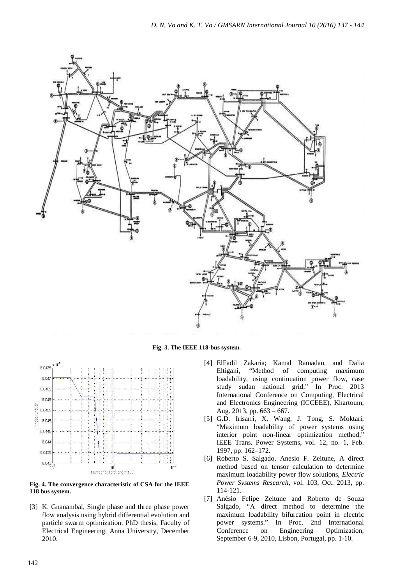

**Fig. 3. The IEEE 118-bus system.** 



**Fig. 4. The convergence characteristic of CSA for the IEEE 118 bus system.** 

[3] K. Gnanambal, Single phase and three phase power flow analysis using hybrid differential evolution and particle swarm optimization, PhD thesis, Faculty of Electrical Engineering, Anna University, December 2010.

- [4] ElFadil Zakaria; Kamal Ramadan, and Dalia Eltigani, "Method of computing maximum loadability, using continuation power flow, case study sudan national grid," In Proc. 2013 International Conference on Computing, Electrical and Electronics Engineering (ICCEEE), Khartoum, Aug. 2013, pp. 663 – 667.
- [5] G.D. Irisarri, X. Wang, J. Tong, S. Moktari, "Maximum loadability of power systems using interior point non-linear optimization method," IEEE Trans. Power Systems, vol. 12, no. 1, Feb. 1997, pp. 162–172.
- [6] Roberto S. Salgado, Anesio F. Zeitune, A direct method based on tensor calculation to determine maximum loadability power flow solutions, *Electric Power Systems Research*, vol. 103, Oct. 2013, pp. 114-121.
- [7] Anésio Felipe Zeitune and Roberto de Souza Salgado, "A direct method to determine the maximum loadability bifurcation point in electric power systems." In Proc. 2nd International Conference on Engineering Optimization, September 6-9, 2010, Lisbon, Portugal, pp. 1-10.